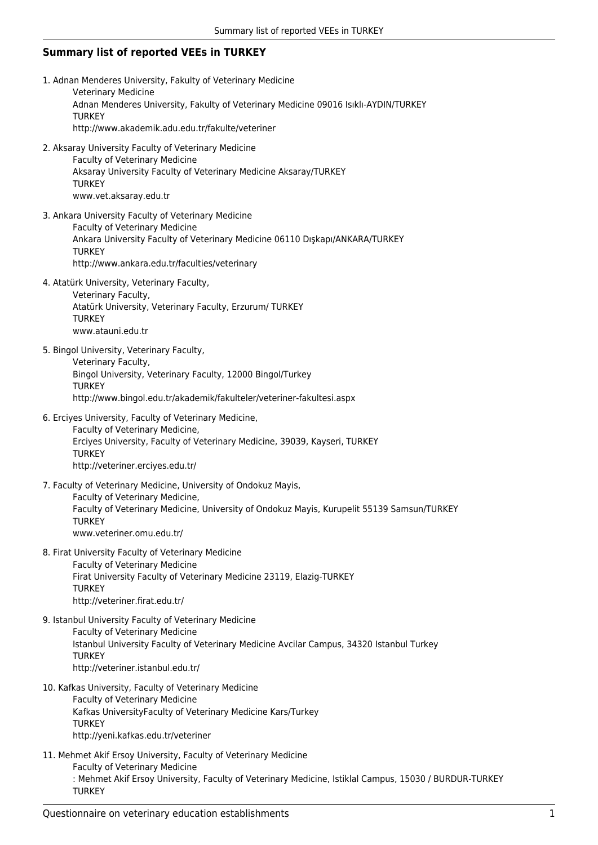## **Summary list of reported VEEs in TURKEY**

1. Adnan Menderes University, Fakulty of Veterinary Medicine Veterinary Medicine Adnan Menderes University, Fakulty of Veterinary Medicine 09016 Isıklı-AYDIN/TURKEY **TURKEY** http://www.akademik.adu.edu.tr/fakulte/veteriner 2. Aksaray University Faculty of Veterinary Medicine Faculty of Veterinary Medicine Aksaray University Faculty of Veterinary Medicine Aksaray/TURKEY **TURKEY** www.vet.aksaray.edu.tr 3. Ankara University Faculty of Veterinary Medicine Faculty of Veterinary Medicine Ankara University Faculty of Veterinary Medicine 06110 Dışkapı/ANKARA/TURKEY **TURKEY** http://www.ankara.edu.tr/faculties/veterinary 4. Atatürk University, Veterinary Faculty, Veterinary Faculty, Atatürk University, Veterinary Faculty, Erzurum/ TURKEY **TURKEY** www.atauni.edu.tr 5. Bingol University, Veterinary Faculty, Veterinary Faculty, Bingol University, Veterinary Faculty, 12000 Bingol/Turkey **TURKEY** http://www.bingol.edu.tr/akademik/fakulteler/veteriner-fakultesi.aspx 6. Erciyes University, Faculty of Veterinary Medicine, Faculty of Veterinary Medicine, Erciyes University, Faculty of Veterinary Medicine, 39039, Kayseri, TURKEY **TURKEY** http://veteriner.erciyes.edu.tr/ 7. Faculty of Veterinary Medicine, University of Ondokuz Mayis, Faculty of Veterinary Medicine, Faculty of Veterinary Medicine, University of Ondokuz Mayis, Kurupelit 55139 Samsun/TURKEY **TURKEY** www.veteriner.omu.edu.tr/ 8. Firat University Faculty of Veterinary Medicine Faculty of Veterinary Medicine Firat University Faculty of Veterinary Medicine 23119, Elazig-TURKEY **TURKEY** http://veteriner.firat.edu.tr/ 9. Istanbul University Faculty of Veterinary Medicine Faculty of Veterinary Medicine Istanbul University Faculty of Veterinary Medicine Avcilar Campus, 34320 Istanbul Turkey **TURKEY** http://veteriner.istanbul.edu.tr/ 10. Kafkas University, Faculty of Veterinary Medicine Faculty of Veterinary Medicine Kafkas UniversityFaculty of Veterinary Medicine Kars/Turkey **TURKEY** http://yeni.kafkas.edu.tr/veteriner 11. Mehmet Akif Ersoy University, Faculty of Veterinary Medicine Faculty of Veterinary Medicine : Mehmet Akif Ersoy University, Faculty of Veterinary Medicine, Istiklal Campus, 15030 / BURDUR-TURKEY **TURKEY**